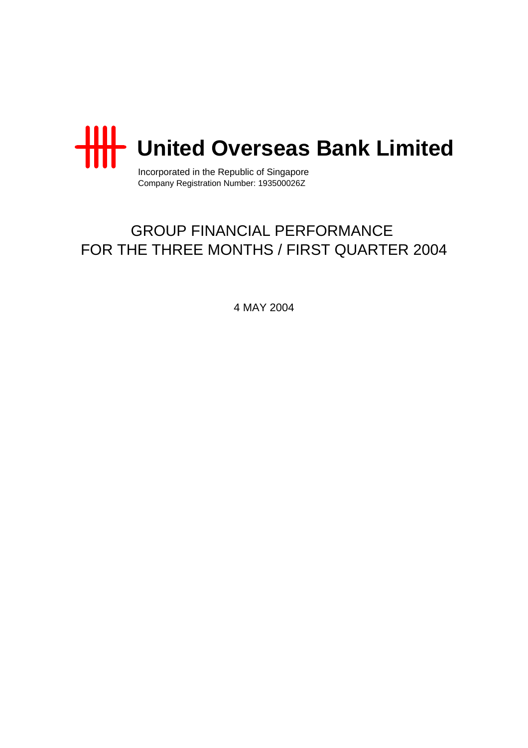

Incorporated in the Republic of Singapore Company Registration Number: 193500026Z

# GROUP FINANCIAL PERFORMANCE FOR THE THREE MONTHS / FIRST QUARTER 2004

4 MAY 2004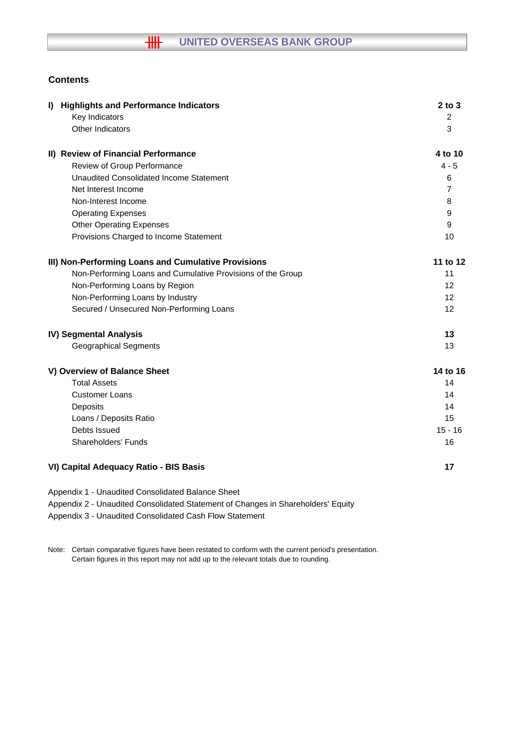# **Contents**

| <b>Highlights and Performance Indicators</b><br>$\mathbf{D}$ | $2$ to $3$     |
|--------------------------------------------------------------|----------------|
| Key Indicators                                               | 2              |
| Other Indicators                                             | 3              |
| II) Review of Financial Performance                          | 4 to 10        |
| Review of Group Performance                                  | $4 - 5$        |
| <b>Unaudited Consolidated Income Statement</b>               | 6              |
| Net Interest Income                                          | $\overline{7}$ |
| Non-Interest Income                                          | 8              |
| <b>Operating Expenses</b>                                    | 9              |
| <b>Other Operating Expenses</b>                              | 9              |
| Provisions Charged to Income Statement                       | 10             |
| III) Non-Performing Loans and Cumulative Provisions          | 11 to 12       |
| Non-Performing Loans and Cumulative Provisions of the Group  | 11             |
| Non-Performing Loans by Region                               | 12             |
| Non-Performing Loans by Industry                             | 12             |
| Secured / Unsecured Non-Performing Loans                     | 12             |
| IV) Segmental Analysis                                       | 13             |
| <b>Geographical Segments</b>                                 | 13             |
| V) Overview of Balance Sheet                                 | 14 to 16       |
| <b>Total Assets</b>                                          | 14             |
| <b>Customer Loans</b>                                        | 14             |
| Deposits                                                     | 14             |
| Loans / Deposits Ratio                                       | 15             |
| Debts Issued                                                 | $15 - 16$      |
| <b>Shareholders' Funds</b>                                   | 16             |
| VI) Capital Adequacy Ratio - BIS Basis                       | 17             |
| Appendix 1 - Unaudited Consolidated Balance Sheet            |                |

Appendix 2 - Unaudited Consolidated Statement of Changes in Shareholders' Equity

Appendix 3 - Unaudited Consolidated Cash Flow Statement

Note: Certain comparative figures have been restated to conform with the current period's presentation. Certain figures in this report may not add up to the relevant totals due to rounding.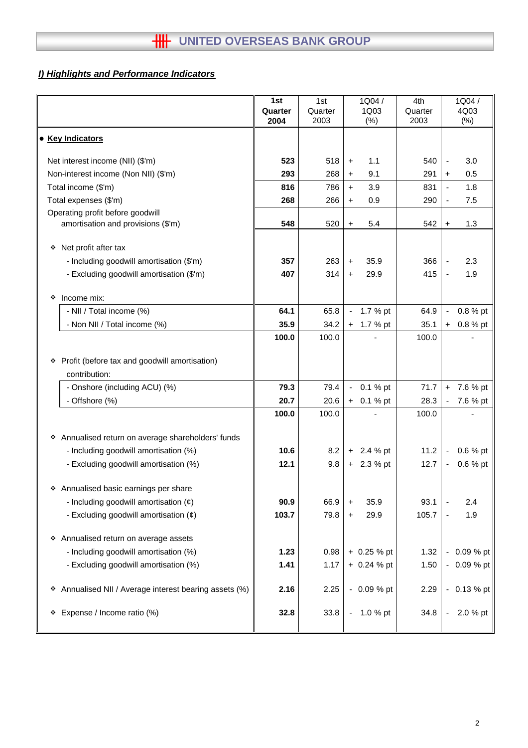# *I) Highlights and Performance Indicators*

|                                                           | 1st     | 1st     |                              | 1Q04/         | 4th     |                          | 1Q04/         |
|-----------------------------------------------------------|---------|---------|------------------------------|---------------|---------|--------------------------|---------------|
|                                                           | Quarter | Quarter |                              | 1Q03          | Quarter |                          | 4Q03          |
|                                                           | 2004    | 2003    |                              | (% )          | 2003    |                          | $(\%)$        |
| <b>• Key Indicators</b>                                   |         |         |                              |               |         |                          |               |
|                                                           |         |         |                              |               |         |                          |               |
| Net interest income (NII) (\$'m)                          | 523     | 518     | $\ddot{}$                    | 1.1           | 540     | $\overline{\phantom{a}}$ | 3.0           |
| Non-interest income (Non NII) (\$'m)                      | 293     | 268     | $\ddot{}$                    | 9.1           | 291     | $\ddot{}$                | 0.5           |
| Total income (\$'m)                                       | 816     | 786     | $+$                          | 3.9           | 831     |                          | 1.8           |
| Total expenses (\$'m)                                     | 268     | 266     | $\ddot{}$                    | 0.9           | 290     | $\overline{a}$           | 7.5           |
| Operating profit before goodwill                          |         |         |                              |               |         |                          |               |
| amortisation and provisions (\$'m)                        | 548     | 520     | $\ddot{}$                    | 5.4           | 542     | $\ddot{}$                | 1.3           |
|                                                           |         |         |                              |               |         |                          |               |
| Net profit after tax<br>❖                                 |         |         |                              |               |         |                          |               |
| - Including goodwill amortisation (\$'m)                  | 357     | 263     | $\ddot{}$                    | 35.9          | 366     |                          | 2.3           |
| - Excluding goodwill amortisation (\$'m)                  | 407     | 314     | $\ddot{}$                    | 29.9          | 415     |                          | 1.9           |
|                                                           |         |         |                              |               |         |                          |               |
| Income mix:<br>❖                                          |         |         |                              |               |         |                          |               |
| - NII / Total income (%)                                  | 64.1    | 65.8    | $\qquad \qquad \blacksquare$ | 1.7 % pt      | 64.9    | -                        | 0.8 % pt      |
| - Non NII / Total income (%)                              | 35.9    | 34.2    | +                            | 1.7 % pt      | 35.1    | $\ddot{}$                | 0.8 % pt      |
|                                                           | 100.0   | 100.0   |                              |               | 100.0   |                          |               |
|                                                           |         |         |                              |               |         |                          |               |
| Profit (before tax and goodwill amortisation)<br>❖        |         |         |                              |               |         |                          |               |
| contribution:                                             |         |         |                              |               |         |                          |               |
| - Onshore (including ACU) (%)                             | 79.3    | 79.4    | $\blacksquare$               | $0.1 %$ pt    | 71.7    | $\ddot{}$                | 7.6 % pt      |
| - Offshore (%)                                            | 20.7    | 20.6    | $+$                          | 0.1 % pt      | 28.3    |                          | 7.6 % pt      |
|                                                           | 100.0   | 100.0   |                              |               | 100.0   |                          |               |
| Annualised return on average shareholders' funds<br>❖     |         |         |                              |               |         |                          |               |
| - Including goodwill amortisation (%)                     | 10.6    | 8.2     | $+$                          | 2.4 % pt      | 11.2    | $\overline{\phantom{a}}$ | 0.6 % pt      |
| - Excluding goodwill amortisation (%)                     | 12.1    | 9.8     |                              | $+ 2.3 %$ pt  | 12.7    | $\overline{\phantom{a}}$ | 0.6 % pt      |
|                                                           |         |         |                              |               |         |                          |               |
| ❖ Annualised basic earnings per share                     |         |         |                              |               |         |                          |               |
| - Including goodwill amortisation $(\phi)$                | 90.9    | 66.9    | $\ddot{}$                    | 35.9          | 93.1    |                          | 2.4           |
| - Excluding goodwill amortisation $(\phi)$                | 103.7   | 79.8    | $\ddot{}$                    | 29.9          | 105.7   |                          | 1.9           |
|                                                           |         |         |                              |               |         |                          |               |
| Annualised return on average assets<br>۰                  |         |         |                              |               |         |                          |               |
| - Including goodwill amortisation (%)                     | 1.23    | 0.98    |                              | $+ 0.25 %$ pt | 1.32    | $\overline{\phantom{a}}$ | 0.09 % pt     |
| - Excluding goodwill amortisation (%)                     | 1.41    | 1.17    |                              | $+ 0.24 %$ pt | 1.50    | $\overline{\phantom{a}}$ | 0.09 % pt     |
|                                                           |         |         |                              |               |         |                          |               |
| Annualised NII / Average interest bearing assets (%)<br>❖ | 2.16    | 2.25    |                              | $-0.09%$ pt   | 2.29    |                          | $-0.13 \%$ pt |
|                                                           |         |         |                              |               |         |                          |               |
| Expense / Income ratio (%)<br>❖                           | 32.8    | 33.8    | $\blacksquare$               | 1.0 % pt      | 34.8    | $\overline{\phantom{a}}$ | 2.0 % pt      |
|                                                           |         |         |                              |               |         |                          |               |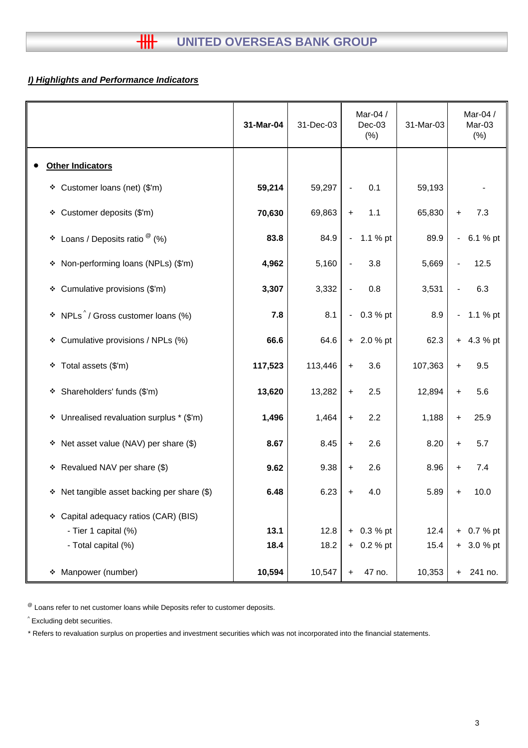# *I) Highlights and Performance Indicators*

|                                                   | 31-Mar-04 | 31-Dec-03 | Mar-04 /<br>$Dec-03$<br>(%)     | 31-Mar-03 | Mar-04 /<br>Mar-03<br>$(\%)$         |
|---------------------------------------------------|-----------|-----------|---------------------------------|-----------|--------------------------------------|
| <b>Other Indicators</b>                           |           |           |                                 |           |                                      |
| Customer loans (net) (\$'m)<br>÷.                 | 59,214    | 59,297    | 0.1<br>$\overline{\phantom{a}}$ | 59,193    |                                      |
| ❖ Customer deposits (\$'m)                        | 70,630    | 69,863    | 1.1<br>$\ddot{}$                | 65,830    | 7.3<br>$\ddot{}$                     |
| Loans / Deposits ratio $^{\circledR}$ (%)<br>٠    | 83.8      | 84.9      | $-1.1%$ pt                      | 89.9      | 6.1 % pt<br>$\overline{\phantom{0}}$ |
| Non-performing loans (NPLs) (\$'m)<br>۰           | 4,962     | 5,160     | 3.8<br>$\overline{\phantom{a}}$ | 5,669     | 12.5                                 |
| Cumulative provisions (\$'m)<br>❖                 | 3,307     | 3,332     | 0.8<br>$\overline{\phantom{a}}$ | 3,531     | 6.3                                  |
| NPLs <sup>^</sup> / Gross customer loans (%)<br>٠ | 7.8       | 8.1       | 0.3 % pt<br>$\blacksquare$      | 8.9       | 1.1 % pt<br>$\overline{\phantom{0}}$ |
| Cumulative provisions / NPLs (%)<br>÷.            | 66.6      | 64.6      | $+ 2.0 %$ pt                    | 62.3      | 4.3 % pt<br>$\ddot{}$                |
| Total assets (\$'m)<br>۰                          | 117,523   | 113,446   | 3.6<br>$\ddot{}$                | 107,363   | 9.5<br>$\ddot{}$                     |
| Shareholders' funds (\$'m)<br>۰                   | 13,620    | 13,282    | 2.5<br>$\ddot{}$                | 12,894    | 5.6<br>$\ddot{}$                     |
| * Unrealised revaluation surplus * (\$'m)         | 1,496     | 1,464     | 2.2<br>$\ddot{}$                | 1,188     | 25.9<br>$\ddot{}$                    |
| Net asset value (NAV) per share (\$)<br>۰         | 8.67      | 8.45      | 2.6<br>$\ddot{}$                | 8.20      | 5.7<br>+                             |
| * Revalued NAV per share (\$)                     | 9.62      | 9.38      | 2.6<br>$\ddot{}$                | 8.96      | 7.4<br>$\ddot{}$                     |
| Net tangible asset backing per share (\$)<br>۰    | 6.48      | 6.23      | 4.0<br>+                        | 5.89      | 10.0<br>+                            |
| Capital adequacy ratios (CAR) (BIS)<br>❖          |           |           |                                 |           |                                      |
| - Tier 1 capital (%)                              | 13.1      | 12.8      | $+ 0.3 %$ pt                    | 12.4      | 0.7 % pt<br>$+$                      |
| - Total capital (%)                               | 18.4      | 18.2      | $+ 0.2 %$ pt                    | 15.4      | $+ 3.0 %$ pt                         |
| Manpower (number)<br>❖                            | 10,594    | 10,547    | 47 no.<br>$\ddot{}$             | 10,353    | 241 no.<br>+                         |

 $<sup>®</sup>$  Loans refer to net customer loans while Deposits refer to customer deposits.</sup>

^ Excluding debt securities.

\* Refers to revaluation surplus on properties and investment securities which was not incorporated into the financial statements.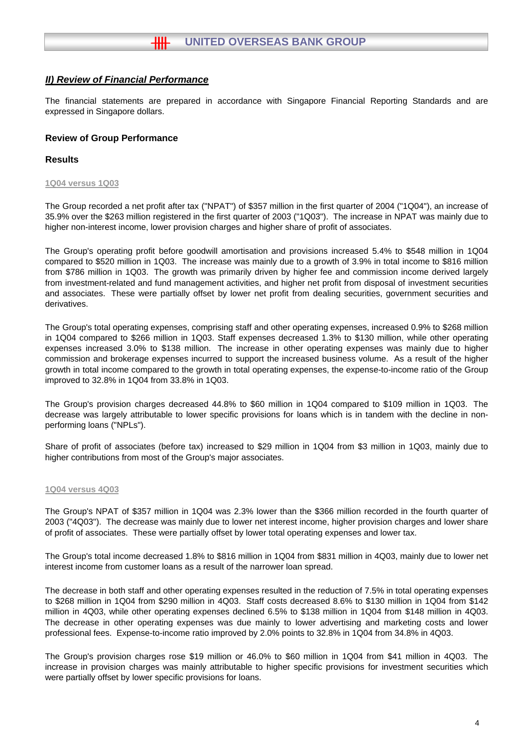The financial statements are prepared in accordance with Singapore Financial Reporting Standards and are expressed in Singapore dollars.

## **Review of Group Performance**

#### **Results**

#### **1Q04 versus 1Q03**

The Group recorded a net profit after tax ("NPAT") of \$357 million in the first quarter of 2004 ("1Q04"), an increase of 35.9% over the \$263 million registered in the first quarter of 2003 ("1Q03"). The increase in NPAT was mainly due to higher non-interest income, lower provision charges and higher share of profit of associates.

The Group's operating profit before goodwill amortisation and provisions increased 5.4% to \$548 million in 1Q04 compared to \$520 million in 1Q03. The increase was mainly due to a growth of 3.9% in total income to \$816 million from \$786 million in 1Q03. The growth was primarily driven by higher fee and commission income derived largely from investment-related and fund management activities, and higher net profit from disposal of investment securities and associates. These were partially offset by lower net profit from dealing securities, government securities and derivatives.

The Group's total operating expenses, comprising staff and other operating expenses, increased 0.9% to \$268 million in 1Q04 compared to \$266 million in 1Q03. Staff expenses decreased 1.3% to \$130 million, while other operating expenses increased 3.0% to \$138 million. The increase in other operating expenses was mainly due to higher commission and brokerage expenses incurred to support the increased business volume. As a result of the higher growth in total income compared to the growth in total operating expenses, the expense-to-income ratio of the Group improved to 32.8% in 1Q04 from 33.8% in 1Q03.

The Group's provision charges decreased 44.8% to \$60 million in 1Q04 compared to \$109 million in 1Q03. The decrease was largely attributable to lower specific provisions for loans which is in tandem with the decline in nonperforming loans ("NPLs").

Share of profit of associates (before tax) increased to \$29 million in 1Q04 from \$3 million in 1Q03, mainly due to higher contributions from most of the Group's major associates.

#### **1Q04 versus 4Q03**

The Group's NPAT of \$357 million in 1Q04 was 2.3% lower than the \$366 million recorded in the fourth quarter of 2003 ("4Q03"). The decrease was mainly due to lower net interest income, higher provision charges and lower share of profit of associates. These were partially offset by lower total operating expenses and lower tax.

The Group's total income decreased 1.8% to \$816 million in 1Q04 from \$831 million in 4Q03, mainly due to lower net interest income from customer loans as a result of the narrower loan spread.

The decrease in both staff and other operating expenses resulted in the reduction of 7.5% in total operating expenses to \$268 million in 1Q04 from \$290 million in 4Q03. Staff costs decreased 8.6% to \$130 million in 1Q04 from \$142 million in 4Q03, while other operating expenses declined 6.5% to \$138 million in 1Q04 from \$148 million in 4Q03. The decrease in other operating expenses was due mainly to lower advertising and marketing costs and lower professional fees. Expense-to-income ratio improved by 2.0% points to 32.8% in 1Q04 from 34.8% in 4Q03.

The Group's provision charges rose \$19 million or 46.0% to \$60 million in 1Q04 from \$41 million in 4Q03. The increase in provision charges was mainly attributable to higher specific provisions for investment securities which were partially offset by lower specific provisions for loans.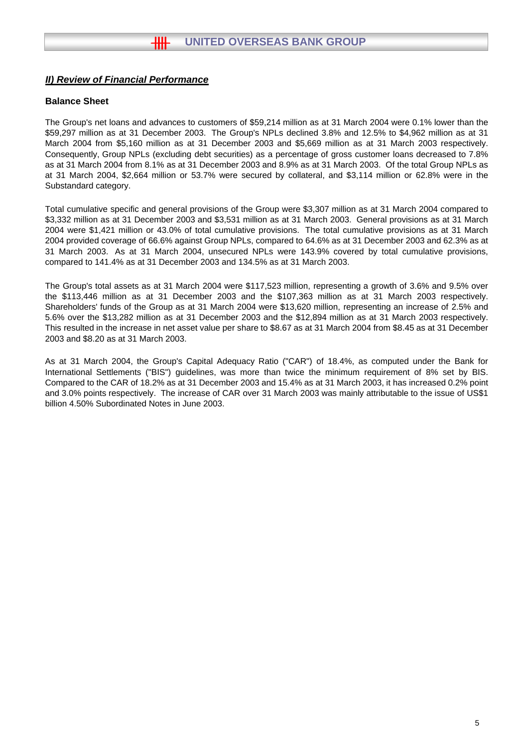## **Balance Sheet**

The Group's net loans and advances to customers of \$59,214 million as at 31 March 2004 were 0.1% lower than the \$59,297 million as at 31 December 2003. The Group's NPLs declined 3.8% and 12.5% to \$4,962 million as at 31 March 2004 from \$5,160 million as at 31 December 2003 and \$5,669 million as at 31 March 2003 respectively. Consequently, Group NPLs (excluding debt securities) as a percentage of gross customer loans decreased to 7.8% as at 31 March 2004 from 8.1% as at 31 December 2003 and 8.9% as at 31 March 2003. Of the total Group NPLs as at 31 March 2004, \$2,664 million or 53.7% were secured by collateral, and \$3,114 million or 62.8% were in the Substandard category.

Total cumulative specific and general provisions of the Group were \$3,307 million as at 31 March 2004 compared to \$3,332 million as at 31 December 2003 and \$3,531 million as at 31 March 2003. General provisions as at 31 March 2004 were \$1,421 million or 43.0% of total cumulative provisions. The total cumulative provisions as at 31 March 2004 provided coverage of 66.6% against Group NPLs, compared to 64.6% as at 31 December 2003 and 62.3% as at 31 March 2003. As at 31 March 2004, unsecured NPLs were 143.9% covered by total cumulative provisions, compared to 141.4% as at 31 December 2003 and 134.5% as at 31 March 2003.

The Group's total assets as at 31 March 2004 were \$117,523 million, representing a growth of 3.6% and 9.5% over the \$113,446 million as at 31 December 2003 and the \$107,363 million as at 31 March 2003 respectively. Shareholders' funds of the Group as at 31 March 2004 were \$13,620 million, representing an increase of 2.5% and 5.6% over the \$13,282 million as at 31 December 2003 and the \$12,894 million as at 31 March 2003 respectively. This resulted in the increase in net asset value per share to \$8.67 as at 31 March 2004 from \$8.45 as at 31 December 2003 and \$8.20 as at 31 March 2003.

As at 31 March 2004, the Group's Capital Adequacy Ratio ("CAR") of 18.4%, as computed under the Bank for International Settlements ("BIS") guidelines, was more than twice the minimum requirement of 8% set by BIS. Compared to the CAR of 18.2% as at 31 December 2003 and 15.4% as at 31 March 2003, it has increased 0.2% point and 3.0% points respectively. The increase of CAR over 31 March 2003 was mainly attributable to the issue of US\$1 billion 4.50% Subordinated Notes in June 2003.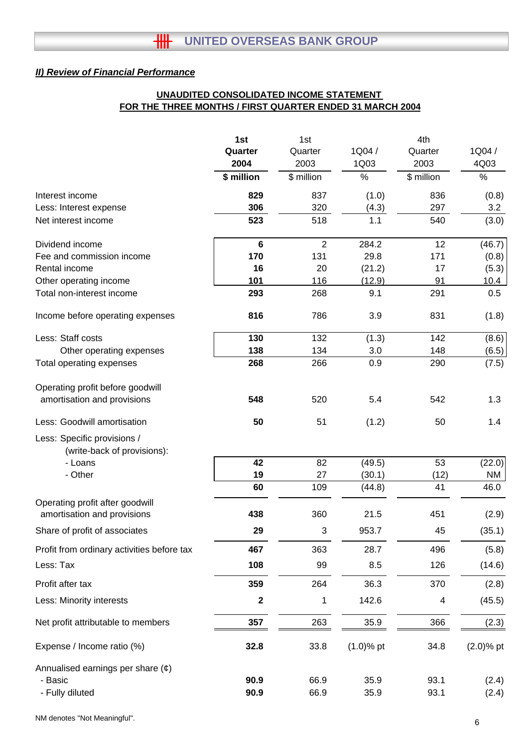# **UNAUDITED CONSOLIDATED INCOME STATEMENT FOR THE THREE MONTHS / FIRST QUARTER ENDED 31 MARCH 2004**

|                                            | 1st              | 1st            |              | 4th        |              |
|--------------------------------------------|------------------|----------------|--------------|------------|--------------|
|                                            | Quarter          | Quarter        | 1Q04/        | Quarter    | 1Q04/        |
|                                            | 2004             | 2003           | 1Q03         | 2003       | 4Q03         |
|                                            | \$ million       | \$ million     | %            | \$ million | $\%$         |
| Interest income                            | 829              | 837            | (1.0)        | 836        | (0.8)        |
| Less: Interest expense                     | 306              | 320            | (4.3)        | 297        | 3.2          |
| Net interest income                        | 523              | 518            | 1.1          | 540        | (3.0)        |
| Dividend income                            | $6\phantom{1}$   | $\overline{2}$ | 284.2        | 12         | (46.7)       |
| Fee and commission income                  | 170              | 131            | 29.8         | 171        | (0.8)        |
| Rental income                              | 16               | 20             | (21.2)       | 17         | (5.3)        |
| Other operating income                     | 101              | 116            | (12.9)       | 91         | 10.4         |
| Total non-interest income                  | 293              | 268            | 9.1          | 291        | 0.5          |
| Income before operating expenses           | 816              | 786            | 3.9          | 831        | (1.8)        |
| Less: Staff costs                          | 130              | 132            | (1.3)        | 142        | (8.6)        |
| Other operating expenses                   | 138              | 134            | 3.0          | 148        | (6.5)        |
| Total operating expenses                   | 268              | 266            | 0.9          | 290        | (7.5)        |
| Operating profit before goodwill           |                  |                |              |            |              |
| amortisation and provisions                | 548              | 520            | 5.4          | 542        | 1.3          |
| Less: Goodwill amortisation                | 50               | 51             | (1.2)        | 50         | 1.4          |
| Less: Specific provisions /                |                  |                |              |            |              |
| (write-back of provisions):                |                  |                |              |            |              |
| - Loans                                    | 42               | 82             | (49.5)       | 53         | (22.0)       |
| - Other                                    | 19               | 27             | (30.1)       | (12)<br>41 | ΝM           |
| Operating profit after goodwill            | 60               | 109            | (44.8)       |            | 46.0         |
| amortisation and provisions                | 438              | 360            | 21.5         | 451        | (2.9)        |
| Share of profit of associates              | 29               | 3              | 953.7        | 45         | (35.1)       |
| Profit from ordinary activities before tax | 467              | 363            | 28.7         | 496        | (5.8)        |
| Less: Tax                                  | 108              | 99             | 8.5          | 126        | (14.6)       |
| Profit after tax                           | 359              | 264            | 36.3         | 370        | (2.8)        |
| Less: Minority interests                   | $\boldsymbol{2}$ | 1              | 142.6        | 4          | (45.5)       |
| Net profit attributable to members         | 357              | 263            | 35.9         | 366        | (2.3)        |
| Expense / Income ratio (%)                 | 32.8             | 33.8           | $(1.0)$ % pt | 34.8       | $(2.0)$ % pt |
| Annualised earnings per share $(\phi)$     |                  |                |              |            |              |
| - Basic                                    | 90.9             | 66.9           | 35.9         | 93.1       | (2.4)        |
| - Fully diluted                            | 90.9             | 66.9           | 35.9         | 93.1       | (2.4)        |

NM denotes "Not Meaningful".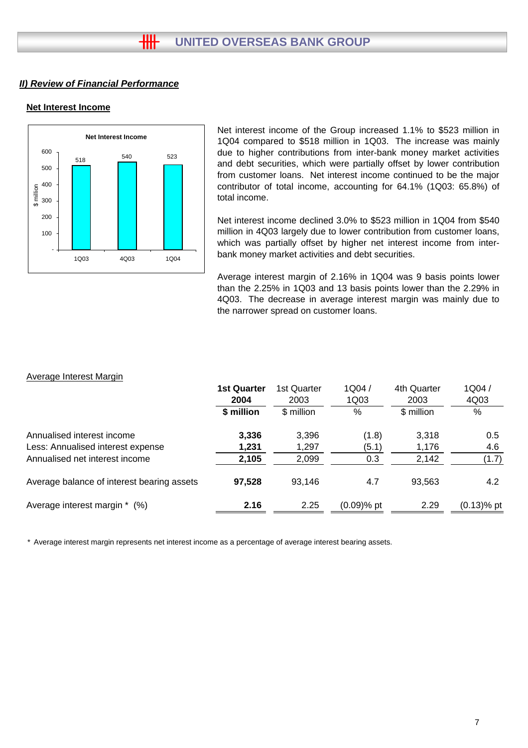## **Net Interest Income**



Net interest income of the Group increased 1.1% to \$523 million in 1Q04 compared to \$518 million in 1Q03. The increase was mainly due to higher contributions from inter-bank money market activities and debt securities, which were partially offset by lower contribution from customer loans. Net interest income continued to be the major contributor of total income, accounting for 64.1% (1Q03: 65.8%) of total income.

Net interest income declined 3.0% to \$523 million in 1Q04 from \$540 million in 4Q03 largely due to lower contribution from customer loans, which was partially offset by higher net interest income from interbank money market activities and debt securities.

Average interest margin of 2.16% in 1Q04 was 9 basis points lower than the 2.25% in 1Q03 and 13 basis points lower than the 2.29% in 4Q03. The decrease in average interest margin was mainly due to the narrower spread on customer loans.

#### Average Interest Margin

|                                            | <b>1st Quarter</b><br>2004 | 1st Quarter<br>2003 | 1Q04/<br>1Q03 | 4th Quarter<br>2003 | 1Q04/<br>4Q03 |
|--------------------------------------------|----------------------------|---------------------|---------------|---------------------|---------------|
|                                            | \$ million                 | \$ million          | %             | \$ million          | $\%$          |
| Annualised interest income                 | 3,336                      | 3,396               | (1.8)         | 3,318               | 0.5           |
| Less: Annualised interest expense          | 1,231                      | 1,297               | (5.1)         | 1,176               | 4.6           |
| Annualised net interest income             | 2,105                      | 2,099               | 0.3           | 2,142               | (1.7)         |
| Average balance of interest bearing assets | 97,528                     | 93.146              | 4.7           | 93,563              | 4.2           |
| Average interest margin * (%)              | 2.16                       | 2.25                | $(0.09)$ % pt | 2.29                | $(0.13)$ % pt |

\* Average interest margin represents net interest income as a percentage of average interest bearing assets.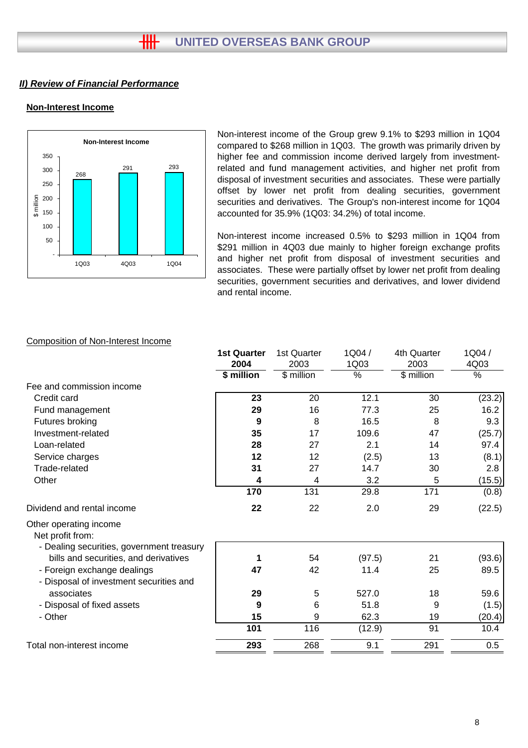# **Non-Interest Income**



Non-interest income of the Group grew 9.1% to \$293 million in 1Q04 compared to \$268 million in 1Q03. The growth was primarily driven by higher fee and commission income derived largely from investmentrelated and fund management activities, and higher net profit from disposal of investment securities and associates. These were partially offset by lower net profit from dealing securities, government securities and derivatives. The Group's non-interest income for 1Q04 accounted for 35.9% (1Q03: 34.2%) of total income.

Non-interest income increased 0.5% to \$293 million in 1Q04 from \$291 million in 4Q03 due mainly to higher foreign exchange profits and higher net profit from disposal of investment securities and associates. These were partially offset by lower net profit from dealing securities, government securities and derivatives, and lower dividend and rental income.

|                                                                                         | <b>1st Quarter</b> | 1st Quarter | 1Q04/  | 4th Quarter | 1Q04/  |
|-----------------------------------------------------------------------------------------|--------------------|-------------|--------|-------------|--------|
|                                                                                         | 2004               | 2003        | 1Q03   | 2003        | 4Q03   |
|                                                                                         | \$ million         | \$ million  | %      | \$ million  | %      |
| Fee and commission income                                                               |                    |             |        |             |        |
| Credit card                                                                             | 23                 | 20          | 12.1   | 30          | (23.2) |
| Fund management                                                                         | 29                 | 16          | 77.3   | 25          | 16.2   |
| Futures broking                                                                         | 9                  | 8           | 16.5   | 8           | 9.3    |
| Investment-related                                                                      | 35                 | 17          | 109.6  | 47          | (25.7) |
| Loan-related                                                                            | 28                 | 27          | 2.1    | 14          | 97.4   |
| Service charges                                                                         | 12                 | 12          | (2.5)  | 13          | (8.1)  |
| Trade-related                                                                           | 31                 | 27          | 14.7   | 30          | 2.8    |
| Other                                                                                   | 4                  | 4           | 3.2    | 5           | (15.5) |
|                                                                                         | 170                | 131         | 29.8   | 171         | (0.8)  |
| Dividend and rental income                                                              | 22                 | 22          | 2.0    | 29          | (22.5) |
| Other operating income<br>Net profit from:<br>- Dealing securities, government treasury |                    |             |        |             |        |
| bills and securities, and derivatives                                                   | 1                  | 54          | (97.5) | 21          | (93.6) |
| - Foreign exchange dealings                                                             | 47                 | 42          | 11.4   | 25          | 89.5   |
| - Disposal of investment securities and                                                 |                    |             |        |             |        |
| associates                                                                              | 29                 | 5           | 527.0  | 18          | 59.6   |
| - Disposal of fixed assets                                                              | 9                  | 6           | 51.8   | 9           | (1.5)  |
| - Other                                                                                 | 15                 | 9           | 62.3   | 19          | (20.4) |
|                                                                                         | 101                | 116         | (12.9) | 91          | 10.4   |
| Total non-interest income                                                               | 293                | 268         | 9.1    | 291         | 0.5    |
|                                                                                         |                    |             |        |             |        |

# Composition of Non-Interest Income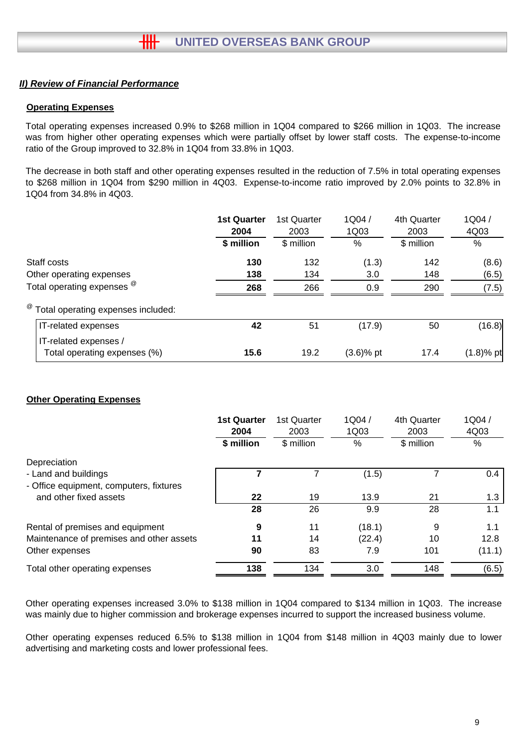## **Operating Expenses**

Total operating expenses increased 0.9% to \$268 million in 1Q04 compared to \$266 million in 1Q03. The increase was from higher other operating expenses which were partially offset by lower staff costs. The expense-to-income ratio of the Group improved to 32.8% in 1Q04 from 33.8% in 1Q03.

The decrease in both staff and other operating expenses resulted in the reduction of 7.5% in total operating expenses to \$268 million in 1Q04 from \$290 million in 4Q03. Expense-to-income ratio improved by 2.0% points to 32.8% in 1Q04 from 34.8% in 4Q03.

|                                                       | <b>1st Quarter</b><br>2004<br>\$ million | 1st Quarter<br>2003<br>\$ million | 1Q04/<br>1Q03<br>% | 4th Quarter<br>2003<br>\$ million | 1Q04/<br>4Q03<br>% |
|-------------------------------------------------------|------------------------------------------|-----------------------------------|--------------------|-----------------------------------|--------------------|
|                                                       |                                          |                                   |                    |                                   |                    |
| Staff costs                                           | 130                                      | 132                               | (1.3)              | 142                               | (8.6)              |
| Other operating expenses                              | 138                                      | 134                               | 3.0                | 148                               | (6.5)              |
| Total operating expenses <sup>@</sup>                 | 268                                      | 266                               | 0.9                | 290                               | (7.5)              |
| <sup>@</sup> Total operating expenses included:       |                                          |                                   |                    |                                   |                    |
| IT-related expenses                                   | 42                                       | 51                                | (17.9)             | 50                                | (16.8)             |
| IT-related expenses /<br>Total operating expenses (%) | 15.6                                     | 19.2                              | $(3.6)$ % pt       | 17.4                              | $(1.8)$ % pt       |

## **Other Operating Expenses**

|                                          | <b>1st Quarter</b><br>2004<br>\$ million | 1st Quarter<br>2003<br>\$ million | 1Q04/<br>1Q03 | 4th Quarter<br>2003<br>\$ million | 1Q04/<br>4Q03<br>$\%$ |
|------------------------------------------|------------------------------------------|-----------------------------------|---------------|-----------------------------------|-----------------------|
|                                          |                                          |                                   | %             |                                   |                       |
| Depreciation                             |                                          |                                   |               |                                   |                       |
| - Land and buildings                     |                                          |                                   | (1.5)         |                                   | 0.4                   |
| - Office equipment, computers, fixtures  |                                          |                                   |               |                                   |                       |
| and other fixed assets                   | 22                                       | 19                                | 13.9          | 21                                | 1.3                   |
|                                          | 28                                       | 26                                | 9.9           | 28                                | 1.1                   |
| Rental of premises and equipment         | 9                                        | 11                                | (18.1)        | 9                                 | 1.1                   |
| Maintenance of premises and other assets | 11                                       | 14                                | (22.4)        | 10                                | 12.8                  |
| Other expenses                           | 90                                       | 83                                | 7.9           | 101                               | (11.1)                |
| Total other operating expenses           | 138                                      | 134                               | 3.0           | 148                               | (6.5)                 |

Other operating expenses increased 3.0% to \$138 million in 1Q04 compared to \$134 million in 1Q03. The increase was mainly due to higher commission and brokerage expenses incurred to support the increased business volume.

Other operating expenses reduced 6.5% to \$138 million in 1Q04 from \$148 million in 4Q03 mainly due to lower advertising and marketing costs and lower professional fees.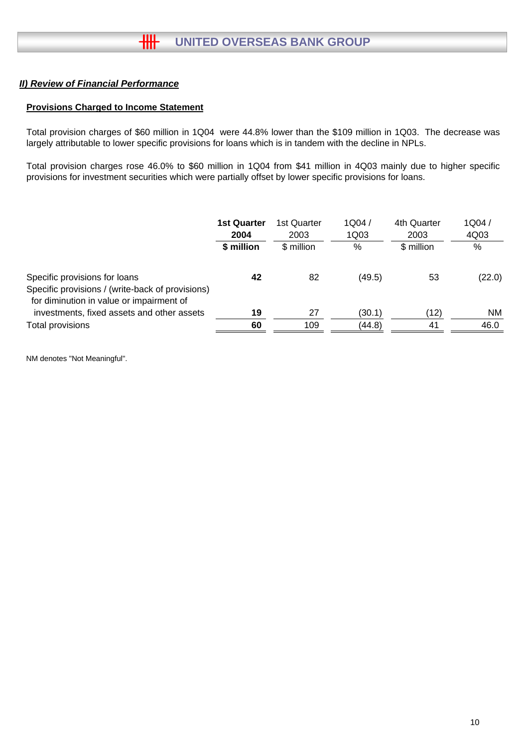## **Provisions Charged to Income Statement**

Total provision charges of \$60 million in 1Q04 were 44.8% lower than the \$109 million in 1Q03. The decrease was largely attributable to lower specific provisions for loans which is in tandem with the decline in NPLs.

Total provision charges rose 46.0% to \$60 million in 1Q04 from \$41 million in 4Q03 mainly due to higher specific provisions for investment securities which were partially offset by lower specific provisions for loans.

|                                                                                                                               | <b>1st Quarter</b><br>2004<br>\$ million | 1st Quarter<br>2003<br>\$ million | 1Q04/<br>1Q03<br>% | 4th Quarter<br>2003<br>\$ million | 1Q04/<br>4Q03<br>% |
|-------------------------------------------------------------------------------------------------------------------------------|------------------------------------------|-----------------------------------|--------------------|-----------------------------------|--------------------|
| Specific provisions for loans<br>Specific provisions / (write-back of provisions)<br>for diminution in value or impairment of | 42                                       | 82                                | (49.5)             | 53                                | (22.0)             |
| investments, fixed assets and other assets                                                                                    | 19                                       | 27                                | (30.1)             | (12)                              | NM                 |
| Total provisions                                                                                                              | 60                                       | 109                               | (44.8)             | 41                                | 46.0               |

NM denotes "Not Meaningful".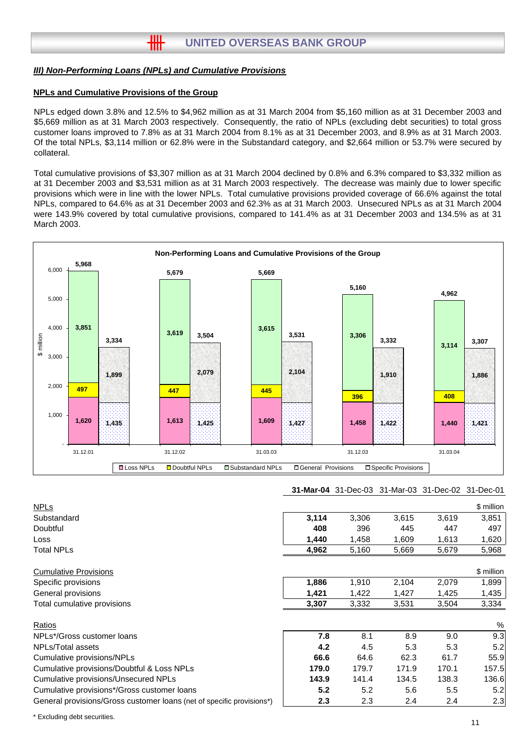#### *III) Non-Performing Loans (NPLs) and Cumulative Provisions*

卌

#### **NPLs and Cumulative Provisions of the Group**

NPLs edged down 3.8% and 12.5% to \$4,962 million as at 31 March 2004 from \$5,160 million as at 31 December 2003 and \$5,669 million as at 31 March 2003 respectively. Consequently, the ratio of NPLs (excluding debt securities) to total gross customer loans improved to 7.8% as at 31 March 2004 from 8.1% as at 31 December 2003, and 8.9% as at 31 March 2003. Of the total NPLs, \$3,114 million or 62.8% were in the Substandard category, and \$2,664 million or 53.7% were secured by collateral.

Total cumulative provisions of \$3,307 million as at 31 March 2004 declined by 0.8% and 6.3% compared to \$3,332 million as at 31 December 2003 and \$3,531 million as at 31 March 2003 respectively. The decrease was mainly due to lower specific provisions which were in line with the lower NPLs. Total cumulative provisions provided coverage of 66.6% against the total NPLs, compared to 64.6% as at 31 December 2003 and 62.3% as at 31 March 2003. Unsecured NPLs as at 31 March 2004 were 143.9% covered by total cumulative provisions, compared to 141.4% as at 31 December 2003 and 134.5% as at 31 March 2003.



#### **31-Mar-04** 31-Dec-03 31-Mar-03 31-Dec-02 31-Dec-01

| <b>NPLs</b>                                                           |                  |       |       |       | \$ million |
|-----------------------------------------------------------------------|------------------|-------|-------|-------|------------|
| Substandard                                                           | 3,114            | 3,306 | 3,615 | 3,619 | 3,851      |
| Doubtful                                                              | 408              | 396   | 445   | 447   | 497        |
| Loss                                                                  | 1,440            | 1,458 | 1,609 | 1,613 | 1,620      |
| <b>Total NPLs</b>                                                     | 4,962            | 5,160 | 5,669 | 5,679 | 5,968      |
| <b>Cumulative Provisions</b>                                          |                  |       |       |       | \$ million |
| Specific provisions                                                   | 1,886            | 1,910 | 2,104 | 2,079 | 1,899      |
| General provisions                                                    | 1,421            | 1,422 | 1,427 | 1,425 | 1,435      |
| Total cumulative provisions                                           | 3,307            | 3,332 | 3,531 | 3,504 | 3,334      |
| Ratios                                                                |                  |       |       |       | $\%$       |
| NPLs*/Gross customer loans                                            | 7.8              | 8.1   | 8.9   | 9.0   | 9.3        |
| NPLs/Total assets                                                     | 4.2              | 4.5   | 5.3   | 5.3   | 5.2        |
| Cumulative provisions/NPLs                                            | 66.6             | 64.6  | 62.3  | 61.7  | 55.9       |
| Cumulative provisions/Doubtful & Loss NPLs                            | 179.0            | 179.7 | 171.9 | 170.1 | 157.5      |
| Cumulative provisions/Unsecured NPLs                                  | 143.9            | 141.4 | 134.5 | 138.3 | 136.6      |
| Cumulative provisions*/Gross customer loans                           | 5.2              | 5.2   | 5.6   | 5.5   | 5.2        |
| General provisions/Gross customer loans (net of specific provisions*) | $2.3\phantom{0}$ | 2.3   | 2.4   | 2.4   | 2.3        |

\* Excluding debt securities.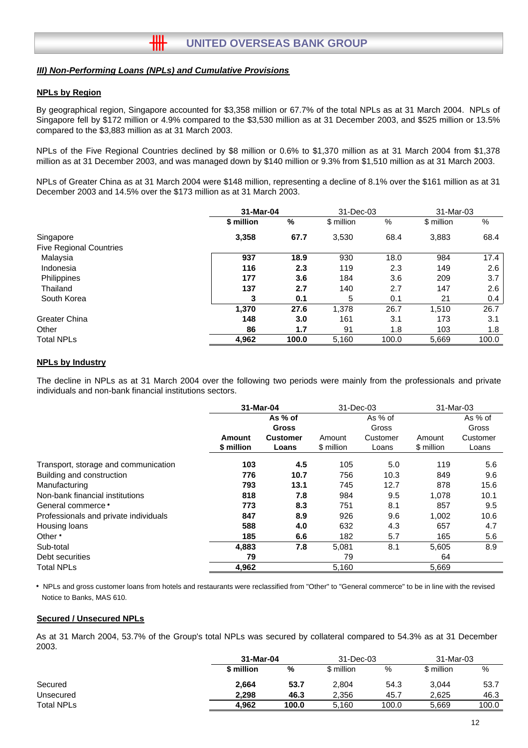#### *III) Non-Performing Loans (NPLs) and Cumulative Provisions*

卌

#### **NPLs by Region**

By geographical region, Singapore accounted for \$3,358 million or 67.7% of the total NPLs as at 31 March 2004. NPLs of Singapore fell by \$172 million or 4.9% compared to the \$3,530 million as at 31 December 2003, and \$525 million or 13.5% compared to the \$3,883 million as at 31 March 2003.

NPLs of the Five Regional Countries declined by \$8 million or 0.6% to \$1,370 million as at 31 March 2004 from \$1,378 million as at 31 December 2003, and was managed down by \$140 million or 9.3% from \$1,510 million as at 31 March 2003.

NPLs of Greater China as at 31 March 2004 were \$148 million, representing a decline of 8.1% over the \$161 million as at 31 December 2003 and 14.5% over the \$173 million as at 31 March 2003.

|                                |            | 31-Mar-04 |            | 31-Dec-03 |            | 31-Mar-03 |
|--------------------------------|------------|-----------|------------|-----------|------------|-----------|
|                                | \$ million | %         | \$ million | %         | \$ million | %         |
| Singapore                      | 3,358      | 67.7      | 3,530      | 68.4      | 3,883      | 68.4      |
| <b>Five Regional Countries</b> |            |           |            |           |            |           |
| Malaysia                       | 937        | 18.9      | 930        | 18.0      | 984        | 17.4      |
| Indonesia                      | 116        | 2.3       | 119        | 2.3       | 149        | $2.6\,$   |
| Philippines                    | 177        | 3.6       | 184        | 3.6       | 209        | 3.7       |
| Thailand                       | 137        | 2.7       | 140        | 2.7       | 147        | $2.6\,$   |
| South Korea                    | 3          | 0.1       | 5          | 0.1       | 21         | 0.4       |
|                                | 1,370      | 27.6      | 1,378      | 26.7      | 1,510      | 26.7      |
| Greater China                  | 148        | 3.0       | 161        | 3.1       | 173        | 3.1       |
| Other                          | 86         | 1.7       | 91         | 1.8       | 103        | 1.8       |
| <b>Total NPLs</b>              | 4,962      | 100.0     | 5,160      | 100.0     | 5,669      | 100.0     |

#### **NPLs by Industry**

The decline in NPLs as at 31 March 2004 over the following two periods were mainly from the professionals and private individuals and non-bank financial institutions sectors.

|                                       | 31-Mar-04  |                 | 31-Dec-03  |          | 31-Mar-03  |          |  |
|---------------------------------------|------------|-----------------|------------|----------|------------|----------|--|
|                                       |            | As % of         |            | As % of  |            | As % of  |  |
|                                       |            | <b>Gross</b>    |            | Gross    |            | Gross    |  |
|                                       | Amount     | <b>Customer</b> | Amount     | Customer | Amount     | Customer |  |
|                                       | \$ million | Loans           | \$ million | Loans    | \$ million | Loans    |  |
| Transport, storage and communication  | 103        | 4.5             | 105        | 5.0      | 119        | 5.6      |  |
| Building and construction             | 776        | 10.7            | 756        | 10.3     | 849        | 9.6      |  |
| Manufacturing                         | 793        | 13.1            | 745        | 12.7     | 878        | 15.6     |  |
| Non-bank financial institutions       | 818        | 7.8             | 984        | 9.5      | 1,078      | 10.1     |  |
| General commerce *                    | 773        | 8.3             | 751        | 8.1      | 857        | 9.5      |  |
| Professionals and private individuals | 847        | 8.9             | 926        | 9.6      | 1,002      | 10.6     |  |
| Housing loans                         | 588        | 4.0             | 632        | 4.3      | 657        | 4.7      |  |
| Other *                               | 185        | 6.6             | 182        | 5.7      | 165        | 5.6      |  |
| Sub-total                             | 4,883      | 7.8             | 5,081      | 8.1      | 5,605      | 8.9      |  |
| Debt securities                       | 79         |                 | 79         |          | 64         |          |  |
| <b>Total NPLs</b>                     | 4,962      |                 | 5,160      |          | 5,669      |          |  |

Notice to Banks, MAS 610. NPLs and gross customer loans from hotels and restaurants were reclassified from "Other" to "General commerce" to be in line with the revised

#### **Secured / Unsecured NPLs**

As at 31 March 2004, 53.7% of the Group's total NPLs was secured by collateral compared to 54.3% as at 31 December 2003.

|                   |            | 31-Mar-04 |            | 31-Dec-03 | 31-Mar-03  |       |
|-------------------|------------|-----------|------------|-----------|------------|-------|
|                   | \$ million | %         | \$ million | %         | \$ million | %     |
| Secured           | 2,664      | 53.7      | 2,804      | 54.3      | 3,044      | 53.7  |
| Unsecured         | 2.298      | 46.3      | 2.356      | 45.7      | 2.625      | 46.3  |
| <b>Total NPLs</b> | 4.962      | 100.0     | 5,160      | 100.0     | 5.669      | 100.0 |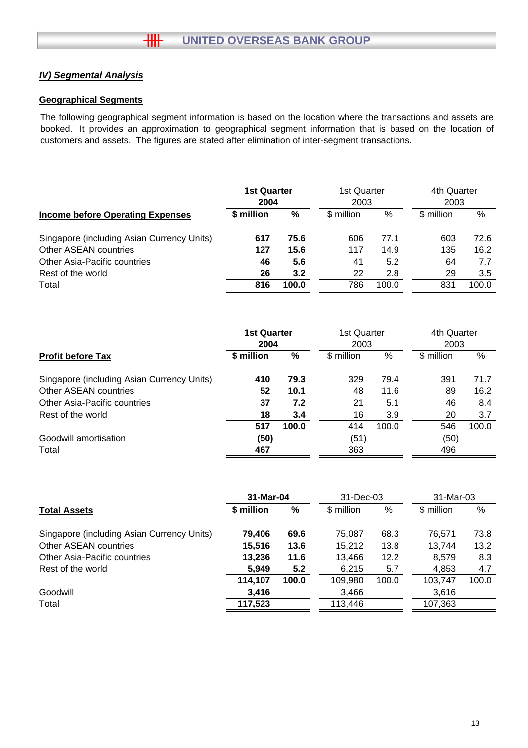# *IV) Segmental Analysis*

## **Geographical Segments**

The following geographical segment information is based on the location where the transactions and assets are booked. It provides an approximation to geographical segment information that is based on the location of customers and assets. The figures are stated after elimination of inter-segment transactions.

|                                            | <b>1st Quarter</b><br>2004 |       | 1st Quarter<br>2003 |       | 4th Quarter<br>2003 |       |
|--------------------------------------------|----------------------------|-------|---------------------|-------|---------------------|-------|
| <b>Income before Operating Expenses</b>    | \$ million                 | %     | \$ million          | %     | \$ million          | %     |
| Singapore (including Asian Currency Units) | 617                        | 75.6  | 606                 | 77.1  | 603                 | 72.6  |
| Other ASEAN countries                      | 127                        | 15.6  | 117                 | 14.9  | 135                 | 16.2  |
| Other Asia-Pacific countries               | 46                         | 5.6   | 41                  | 5.2   | 64                  | 7.7   |
| Rest of the world                          | 26                         | 3.2   | 22                  | 2.8   | 29                  | 3.5   |
| Total                                      | 816                        | 100.0 | 786                 | 100.0 | 831                 | 100.0 |

|                                            | <b>1st Quarter</b> |       | 1st Quarter        |       | 4th Quarter        |       |
|--------------------------------------------|--------------------|-------|--------------------|-------|--------------------|-------|
| <b>Profit before Tax</b>                   | 2004<br>\$ million | %     | 2003<br>\$ million | %     | 2003<br>\$ million | %     |
| Singapore (including Asian Currency Units) | 410                | 79.3  | 329                | 79.4  | 391                | 71.7  |
| Other ASEAN countries                      | 52                 | 10.1  | 48                 | 11.6  | 89                 | 16.2  |
| Other Asia-Pacific countries               | 37                 | 7.2   | 21                 | 5.1   | 46                 | 8.4   |
| Rest of the world                          | 18                 | 3.4   | 16                 | 3.9   | 20                 | 3.7   |
|                                            | 517                | 100.0 | 414                | 100.0 | 546                | 100.0 |
| Goodwill amortisation                      | (50)               |       | (51)               |       | (50)               |       |
| Total                                      | 467                |       | 363                |       | 496                |       |

|                                            | 31-Mar-04  |       | 31-Dec-03  |       | 31-Mar-03  |       |
|--------------------------------------------|------------|-------|------------|-------|------------|-------|
| <b>Total Assets</b>                        | \$ million | %     | \$ million | %     | \$ million | %     |
| Singapore (including Asian Currency Units) | 79.406     | 69.6  | 75,087     | 68.3  | 76.571     | 73.8  |
| Other ASEAN countries                      | 15,516     | 13.6  | 15,212     | 13.8  | 13,744     | 13.2  |
| Other Asia-Pacific countries               | 13,236     | 11.6  | 13,466     | 12.2  | 8,579      | 8.3   |
| Rest of the world                          | 5,949      | 5.2   | 6,215      | 5.7   | 4,853      | 4.7   |
|                                            | 114,107    | 100.0 | 109,980    | 100.0 | 103,747    | 100.0 |
| Goodwill                                   | 3,416      |       | 3,466      |       | 3,616      |       |
| Total                                      | 117,523    |       | 113,446    |       | 107,363    |       |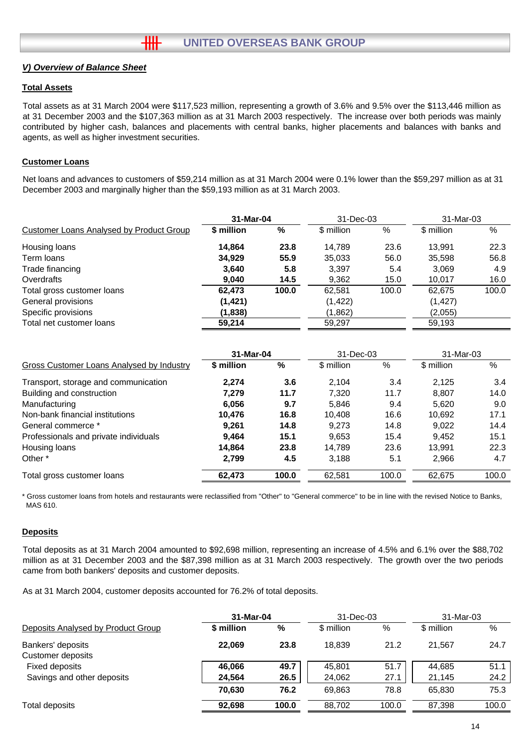## *V) Overview of Balance Sheet*

### **Total Assets**

Total assets as at 31 March 2004 were \$117,523 million, representing a growth of 3.6% and 9.5% over the \$113,446 million as at 31 December 2003 and the \$107,363 million as at 31 March 2003 respectively. The increase over both periods was mainly contributed by higher cash, balances and placements with central banks, higher placements and balances with banks and agents, as well as higher investment securities.

## **Customer Loans**

Net loans and advances to customers of \$59,214 million as at 31 March 2004 were 0.1% lower than the \$59,297 million as at 31 December 2003 and marginally higher than the \$59,193 million as at 31 March 2003.

|                                                 | 31-Mar-04  |       | 31-Dec-03  |       | 31-Mar-03  |       |
|-------------------------------------------------|------------|-------|------------|-------|------------|-------|
| <b>Customer Loans Analysed by Product Group</b> | \$ million | %     | \$ million | %     | \$ million | %     |
| Housing loans                                   | 14.864     | 23.8  | 14.789     | 23.6  | 13.991     | 22.3  |
| Term Ioans                                      | 34.929     | 55.9  | 35,033     | 56.0  | 35,598     | 56.8  |
| Trade financing                                 | 3,640      | 5.8   | 3,397      | 5.4   | 3,069      | 4.9   |
| Overdrafts                                      | 9,040      | 14.5  | 9,362      | 15.0  | 10.017     | 16.0  |
| Total gross customer loans                      | 62,473     | 100.0 | 62,581     | 100.0 | 62,675     | 100.0 |
| General provisions                              | (1, 421)   |       | (1, 422)   |       | (1, 427)   |       |
| Specific provisions                             | (1,838)    |       | (1,862)    |       | (2,055)    |       |
| Total net customer loans                        | 59,214     |       | 59,297     |       | 59,193     |       |

|                                           | 31-Mar-04  |               | 31-Dec-03  |       | 31-Mar-03  |       |
|-------------------------------------------|------------|---------------|------------|-------|------------|-------|
| Gross Customer Loans Analysed by Industry | \$ million | $\frac{0}{0}$ | \$ million | $\%$  | \$ million | %     |
| Transport, storage and communication      | 2.274      | 3.6           | 2.104      | 3.4   | 2.125      | 3.4   |
| Building and construction                 | 7.279      | 11.7          | 7,320      | 11.7  | 8,807      | 14.0  |
| Manufacturing                             | 6.056      | 9.7           | 5.846      | 9.4   | 5.620      | 9.0   |
| Non-bank financial institutions           | 10.476     | 16.8          | 10.408     | 16.6  | 10.692     | 17.1  |
| General commerce *                        | 9.261      | 14.8          | 9.273      | 14.8  | 9.022      | 14.4  |
| Professionals and private individuals     | 9.464      | 15.1          | 9.653      | 15.4  | 9.452      | 15.1  |
| Housing loans                             | 14.864     | 23.8          | 14.789     | 23.6  | 13.991     | 22.3  |
| Other *                                   | 2,799      | 4.5           | 3,188      | 5.1   | 2,966      | 4.7   |
| Total gross customer loans                | 62,473     | 100.0         | 62,581     | 100.0 | 62,675     | 100.0 |

\* Gross customer loans from hotels and restaurants were reclassified from "Other" to "General commerce" to be in line with the revised Notice to Banks, MAS 610.

#### **Deposits**

Total deposits as at 31 March 2004 amounted to \$92,698 million, representing an increase of 4.5% and 6.1% over the \$88,702 million as at 31 December 2003 and the \$87,398 million as at 31 March 2003 respectively. The growth over the two periods came from both bankers' deposits and customer deposits.

As at 31 March 2004, customer deposits accounted for 76.2% of total deposits.

|                                        | 31-Mar-04  |       | $31 - Dec-03$ |       | 31-Mar-03  |       |
|----------------------------------------|------------|-------|---------------|-------|------------|-------|
| Deposits Analysed by Product Group     | \$ million | %     | \$ million    | %     | \$ million | %     |
| Bankers' deposits<br>Customer deposits | 22,069     | 23.8  | 18.839        | 21.2  | 21.567     | 24.7  |
| Fixed deposits                         | 46,066     | 49.7  | 45,801        | 51.7  | 44,685     | 51.1  |
| Savings and other deposits             | 24,564     | 26.5  | 24,062        | 27.1  | 21,145     | 24.2  |
|                                        | 70.630     | 76.2  | 69,863        | 78.8  | 65,830     | 75.3  |
| Total deposits                         | 92.698     | 100.0 | 88.702        | 100.0 | 87.398     | 100.0 |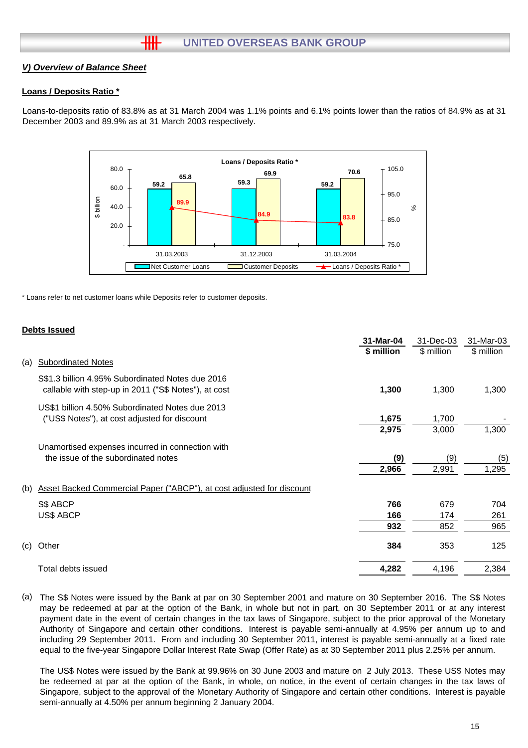## *V) Overview of Balance Sheet*

## **Loans / Deposits Ratio \***

Loans-to-deposits ratio of 83.8% as at 31 March 2004 was 1.1% points and 6.1% points lower than the ratios of 84.9% as at 31 December 2003 and 89.9% as at 31 March 2003 respectively.



\* Loans refer to net customer loans while Deposits refer to customer deposits.

## **Debts Issued**

|                                                                                                          | 31-Mar-04  | 31-Dec-03  | 31-Mar-03  |
|----------------------------------------------------------------------------------------------------------|------------|------------|------------|
|                                                                                                          | \$ million | \$ million | \$ million |
| <b>Subordinated Notes</b><br>(a)                                                                         |            |            |            |
| S\$1.3 billion 4.95% Subordinated Notes due 2016<br>callable with step-up in 2011 ("S\$ Notes"), at cost | 1,300      | 1,300      | 1,300      |
| US\$1 billion 4.50% Subordinated Notes due 2013<br>("US\$ Notes"), at cost adjusted for discount         | 1,675      | 1,700      |            |
|                                                                                                          | 2,975      | 3,000      | 1,300      |
| Unamortised expenses incurred in connection with                                                         |            |            |            |
| the issue of the subordinated notes                                                                      | (9)        | (9)        | (5)        |
|                                                                                                          | 2,966      | 2,991      | 1,295      |
| Asset Backed Commercial Paper ("ABCP"), at cost adjusted for discount<br>(b)                             |            |            |            |
| S\$ ABCP                                                                                                 | 766        | 679        | 704        |
| US\$ ABCP                                                                                                | 166        | 174        | 261        |
|                                                                                                          | 932        | 852        | 965        |
| (c)<br>Other                                                                                             | 384        | 353        | 125        |
| Total debts issued                                                                                       | 4,282      | 4,196      | 2,384      |

(a) The S\$ Notes were issued by the Bank at par on 30 September 2001 and mature on 30 September 2016. The S\$ Notes may be redeemed at par at the option of the Bank, in whole but not in part, on 30 September 2011 or at any interest payment date in the event of certain changes in the tax laws of Singapore, subject to the prior approval of the Monetary Authority of Singapore and certain other conditions. Interest is payable semi-annually at 4.95% per annum up to and including 29 September 2011. From and including 30 September 2011, interest is payable semi-annually at a fixed rate equal to the five-year Singapore Dollar Interest Rate Swap (Offer Rate) as at 30 September 2011 plus 2.25% per annum.

The US\$ Notes were issued by the Bank at 99.96% on 30 June 2003 and mature on 2 July 2013. These US\$ Notes may be redeemed at par at the option of the Bank, in whole, on notice, in the event of certain changes in the tax laws of Singapore, subject to the approval of the Monetary Authority of Singapore and certain other conditions. Interest is payable semi-annually at 4.50% per annum beginning 2 January 2004.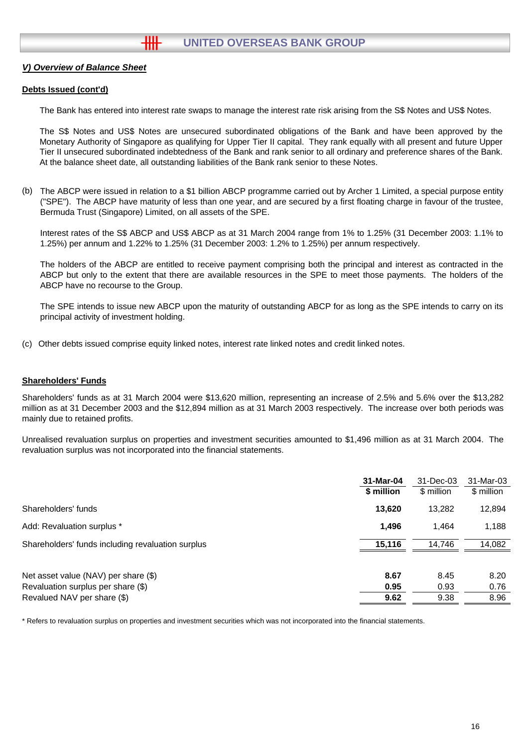### *V) Overview of Balance Sheet*

#### **Debts Issued (cont'd)**

The Bank has entered into interest rate swaps to manage the interest rate risk arising from the S\$ Notes and US\$ Notes.

The S\$ Notes and US\$ Notes are unsecured subordinated obligations of the Bank and have been approved by the Monetary Authority of Singapore as qualifying for Upper Tier II capital. They rank equally with all present and future Upper Tier II unsecured subordinated indebtedness of the Bank and rank senior to all ordinary and preference shares of the Bank. At the balance sheet date, all outstanding liabilities of the Bank rank senior to these Notes.

(b) The ABCP were issued in relation to a \$1 billion ABCP programme carried out by Archer 1 Limited, a special purpose entity ("SPE"). The ABCP have maturity of less than one year, and are secured by a first floating charge in favour of the trustee, Bermuda Trust (Singapore) Limited, on all assets of the SPE.

Interest rates of the S\$ ABCP and US\$ ABCP as at 31 March 2004 range from 1% to 1.25% (31 December 2003: 1.1% to 1.25%) per annum and 1.22% to 1.25% (31 December 2003: 1.2% to 1.25%) per annum respectively.

The holders of the ABCP are entitled to receive payment comprising both the principal and interest as contracted in the ABCP but only to the extent that there are available resources in the SPE to meet those payments. The holders of the ABCP have no recourse to the Group.

The SPE intends to issue new ABCP upon the maturity of outstanding ABCP for as long as the SPE intends to carry on its principal activity of investment holding.

(c) Other debts issued comprise equity linked notes, interest rate linked notes and credit linked notes.

#### **Shareholders' Funds**

Shareholders' funds as at 31 March 2004 were \$13,620 million, representing an increase of 2.5% and 5.6% over the \$13,282 million as at 31 December 2003 and the \$12,894 million as at 31 March 2003 respectively. The increase over both periods was mainly due to retained profits.

Unrealised revaluation surplus on properties and investment securities amounted to \$1,496 million as at 31 March 2004. The revaluation surplus was not incorporated into the financial statements.

|                                                   | 31-Mar-04  | 31-Dec-03  | 31-Mar-03  |
|---------------------------------------------------|------------|------------|------------|
|                                                   | \$ million | \$ million | \$ million |
| Shareholders' funds                               | 13,620     | 13,282     | 12,894     |
| Add: Revaluation surplus *                        | 1.496      | 1.464      | 1,188      |
| Shareholders' funds including revaluation surplus | 15,116     | 14.746     | 14,082     |
|                                                   |            |            |            |
| Net asset value (NAV) per share (\$)              | 8.67       | 8.45       | 8.20       |
| Revaluation surplus per share (\$)                | 0.95       | 0.93       | 0.76       |
| Revalued NAV per share (\$)                       | 9.62       | 9.38       | 8.96       |

\* Refers to revaluation surplus on properties and investment securities which was not incorporated into the financial statements.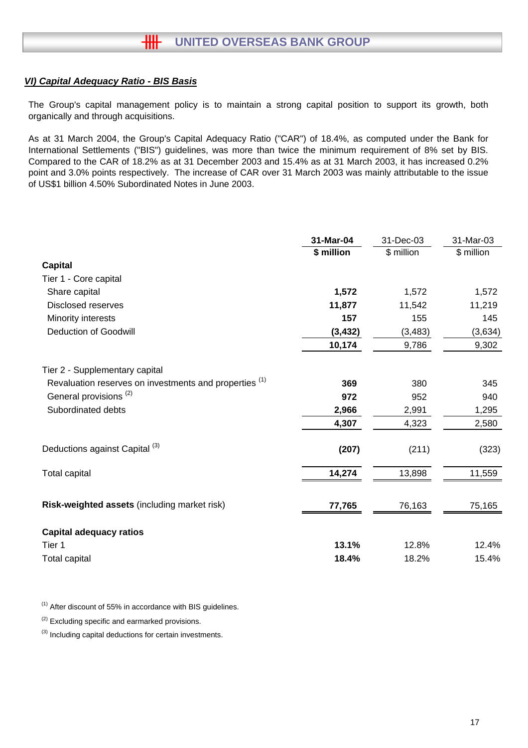## *VI) Capital Adequacy Ratio - BIS Basis*

The Group's capital management policy is to maintain a strong capital position to support its growth, both organically and through acquisitions.

As at 31 March 2004, the Group's Capital Adequacy Ratio ("CAR") of 18.4%, as computed under the Bank for International Settlements ("BIS") guidelines, was more than twice the minimum requirement of 8% set by BIS. Compared to the CAR of 18.2% as at 31 December 2003 and 15.4% as at 31 March 2003, it has increased 0.2% point and 3.0% points respectively. The increase of CAR over 31 March 2003 was mainly attributable to the issue of US\$1 billion 4.50% Subordinated Notes in June 2003.

|                                                        | 31-Mar-04  | 31-Dec-03  | 31-Mar-03  |
|--------------------------------------------------------|------------|------------|------------|
|                                                        | \$ million | \$ million | \$ million |
| <b>Capital</b>                                         |            |            |            |
| Tier 1 - Core capital                                  |            |            |            |
| Share capital                                          | 1,572      | 1,572      | 1,572      |
| <b>Disclosed reserves</b>                              | 11,877     | 11,542     | 11,219     |
| Minority interests                                     | 157        | 155        | 145        |
| <b>Deduction of Goodwill</b>                           | (3, 432)   | (3, 483)   | (3,634)    |
|                                                        | 10,174     | 9,786      | 9,302      |
| Tier 2 - Supplementary capital                         |            |            |            |
| Revaluation reserves on investments and properties (1) | 369        | 380        | 345        |
| General provisions <sup>(2)</sup>                      | 972        | 952        | 940        |
| Subordinated debts                                     | 2,966      | 2,991      | 1,295      |
|                                                        | 4,307      | 4,323      | 2,580      |
| Deductions against Capital <sup>(3)</sup>              | (207)      | (211)      | (323)      |
| <b>Total capital</b>                                   | 14,274     | 13,898     | 11,559     |
| Risk-weighted assets (including market risk)           | 77,765     | 76,163     | 75,165     |
| <b>Capital adequacy ratios</b>                         |            |            |            |
| Tier 1                                                 | 13.1%      | 12.8%      | 12.4%      |
| <b>Total capital</b>                                   | 18.4%      | 18.2%      | 15.4%      |

 $(1)$  After discount of 55% in accordance with BIS guidelines.

 $(2)$  Excluding specific and earmarked provisions.

<sup>(3)</sup> Including capital deductions for certain investments.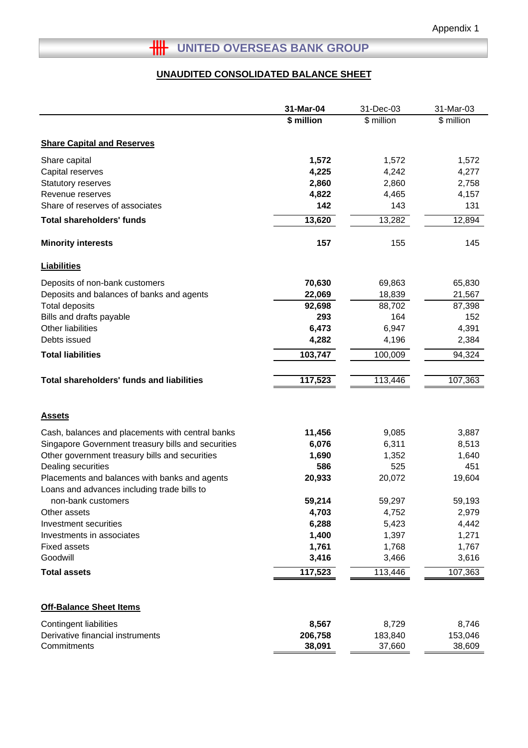# **HILLER OVERSEAS BANK GROUP**

# **UNAUDITED CONSOLIDATED BALANCE SHEET**

|                                                                                              | 31-Mar-04  | 31-Dec-03  | 31-Mar-03  |
|----------------------------------------------------------------------------------------------|------------|------------|------------|
|                                                                                              | \$ million | \$ million | \$ million |
| <b>Share Capital and Reserves</b>                                                            |            |            |            |
| Share capital                                                                                | 1,572      | 1,572      | 1,572      |
| Capital reserves                                                                             | 4,225      | 4,242      | 4,277      |
| Statutory reserves                                                                           | 2,860      | 2,860      | 2,758      |
| Revenue reserves                                                                             | 4,822      | 4,465      | 4,157      |
| Share of reserves of associates                                                              | 142        | 143        | 131        |
| <b>Total shareholders' funds</b>                                                             | 13,620     | 13,282     | 12,894     |
| <b>Minority interests</b>                                                                    | 157        | 155        | 145        |
| <b>Liabilities</b>                                                                           |            |            |            |
| Deposits of non-bank customers                                                               | 70,630     | 69,863     | 65,830     |
| Deposits and balances of banks and agents                                                    | 22,069     | 18,839     | 21,567     |
| <b>Total deposits</b>                                                                        | 92,698     | 88,702     | 87,398     |
| Bills and drafts payable                                                                     | 293        | 164        | 152        |
| Other liabilities                                                                            | 6,473      | 6,947      | 4,391      |
| Debts issued                                                                                 | 4,282      | 4,196      | 2,384      |
| <b>Total liabilities</b>                                                                     | 103,747    | 100,009    | 94,324     |
| <b>Total shareholders' funds and liabilities</b>                                             | 117,523    | 113,446    | 107,363    |
| <b>Assets</b>                                                                                |            |            |            |
| Cash, balances and placements with central banks                                             | 11,456     | 9,085      | 3,887      |
| Singapore Government treasury bills and securities                                           | 6,076      | 6,311      | 8,513      |
| Other government treasury bills and securities                                               | 1,690      | 1,352      | 1,640      |
| Dealing securities                                                                           | 586        | 525        | 451        |
| Placements and balances with banks and agents<br>Loans and advances including trade bills to | 20,933     | 20,072     | 19,604     |
| non-bank customers                                                                           | 59,214     | 59,297     | 59,193     |
| Other assets                                                                                 | 4,703      | 4,752      | 2,979      |
| Investment securities                                                                        | 6,288      | 5,423      | 4,442      |
| Investments in associates                                                                    | 1,400      | 1,397      | 1,271      |
| <b>Fixed assets</b>                                                                          | 1,761      | 1,768      | 1,767      |
| Goodwill                                                                                     | 3,416      | 3,466      | 3,616      |
| <b>Total assets</b>                                                                          | 117,523    | 113,446    | 107,363    |
| <b>Off-Balance Sheet Items</b>                                                               |            |            |            |
| <b>Contingent liabilities</b>                                                                | 8,567      | 8,729      | 8,746      |
| Derivative financial instruments                                                             | 206,758    | 183,840    | 153,046    |
| Commitments                                                                                  | 38,091     | 37,660     | 38,609     |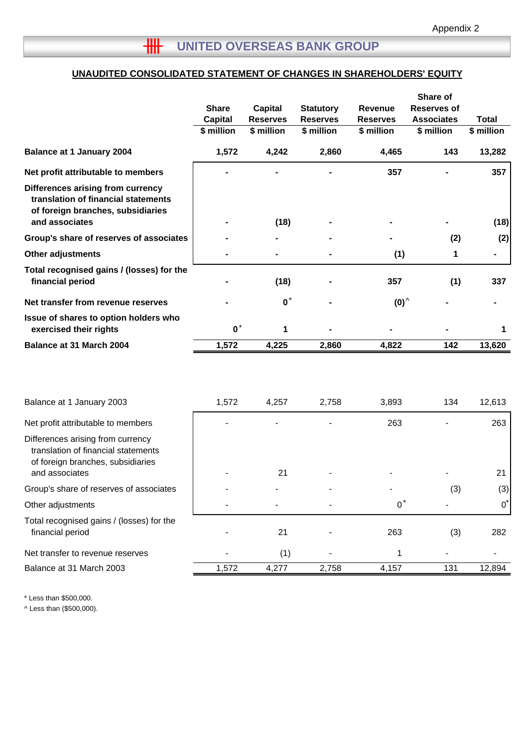# **UNAUDITED CONSOLIDATED STATEMENT OF CHANGES IN SHAREHOLDERS' EQUITY**

|                                                                                                               | <b>Share</b>   | Capital         | <b>Statutory</b> | Revenue         | Share of<br>Reserves of |              |
|---------------------------------------------------------------------------------------------------------------|----------------|-----------------|------------------|-----------------|-------------------------|--------------|
|                                                                                                               | <b>Capital</b> | <b>Reserves</b> | <b>Reserves</b>  | <b>Reserves</b> | <b>Associates</b>       | <b>Total</b> |
|                                                                                                               | \$ million     | \$ million      | \$ million       | \$ million      | \$ million              | \$ million   |
| <b>Balance at 1 January 2004</b>                                                                              | 1,572          | 4,242           | 2,860            | 4,465           | 143                     | 13,282       |
| Net profit attributable to members                                                                            |                |                 |                  | 357             |                         | 357          |
| Differences arising from currency<br>translation of financial statements<br>of foreign branches, subsidiaries |                |                 |                  |                 |                         |              |
| and associates                                                                                                |                | (18)            |                  |                 |                         | (18)         |
| Group's share of reserves of associates                                                                       |                |                 |                  |                 | (2)                     | (2)          |
| <b>Other adjustments</b>                                                                                      |                |                 |                  | (1)             | 1                       |              |
| Total recognised gains / (losses) for the<br>financial period                                                 |                | (18)            |                  | 357             | (1)                     | 337          |
| Net transfer from revenue reserves                                                                            |                | $\mathbf{0}^*$  |                  | $(0)^{\wedge}$  |                         |              |
| Issue of shares to option holders who<br>exercised their rights                                               | $\mathbf{0}^*$ | 1               |                  |                 |                         | 1            |
| Balance at 31 March 2004                                                                                      | 1,572          | 4,225           | 2,860            | 4,822           | 142                     | 13,620       |

| Balance at 1 January 2003                                                                                                       | 1,572 | 4,257 | 2,758 | 3,893 | 134 | 12,613       |
|---------------------------------------------------------------------------------------------------------------------------------|-------|-------|-------|-------|-----|--------------|
| Net profit attributable to members                                                                                              |       |       |       | 263   |     | 263          |
| Differences arising from currency<br>translation of financial statements<br>of foreign branches, subsidiaries<br>and associates |       | 21    |       |       |     | 21           |
| Group's share of reserves of associates                                                                                         |       |       |       |       | (3) | (3)          |
| Other adjustments                                                                                                               |       |       |       | $0^*$ |     | $0^{\prime}$ |
| Total recognised gains / (losses) for the<br>financial period                                                                   |       | 21    |       | 263   | (3) | 282          |
| Net transfer to revenue reserves                                                                                                |       | (1)   |       |       |     |              |
| Balance at 31 March 2003                                                                                                        | 1,572 | 4,277 | 2,758 | 4,157 | 131 | 12,894       |

\* Less than \$500,000.

^ Less than (\$500,000).